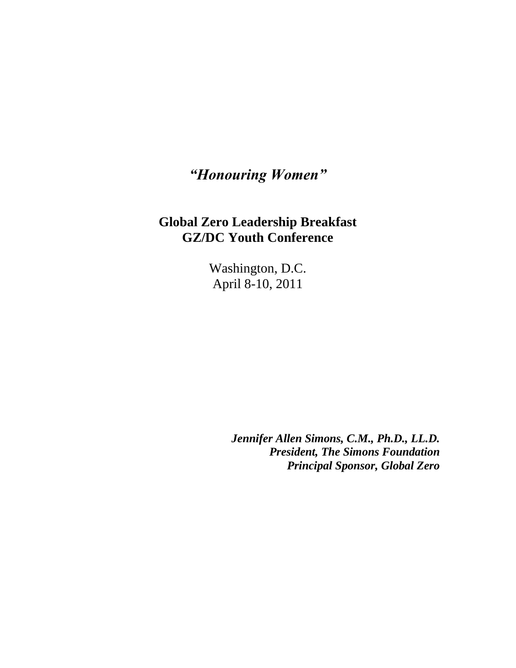## *"Honouring Women"*

## **Global Zero Leadership Breakfast GZ/DC Youth Conference**

Washington, D.C. April 8-10, 2011

> *Jennifer Allen Simons, C.M., Ph.D., LL.D. President, The Simons Foundation Principal Sponsor, Global Zero*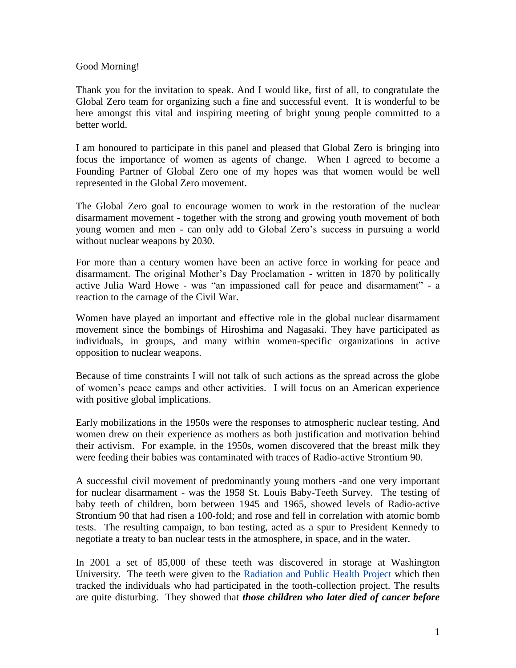## Good Morning!

Thank you for the invitation to speak. And I would like, first of all, to congratulate the Global Zero team for organizing such a fine and successful event. It is wonderful to be here amongst this vital and inspiring meeting of bright young people committed to a better world.

I am honoured to participate in this panel and pleased that Global Zero is bringing into focus the importance of women as agents of change. When I agreed to become a Founding Partner of Global Zero one of my hopes was that women would be well represented in the Global Zero movement.

The Global Zero goal to encourage women to work in the restoration of the nuclear disarmament movement - together with the strong and growing youth movement of both young women and men - can only add to Global Zero's success in pursuing a world without nuclear weapons by 2030.

For more than a century women have been an active force in working for peace and disarmament. The original Mother's Day Proclamation - written in 1870 by politically active Julia Ward Howe - was "an impassioned call for peace and disarmament" - a reaction to the carnage of the Civil War.

Women have played an important and effective role in the global nuclear disarmament movement since the bombings of Hiroshima and Nagasaki. They have participated as individuals, in groups, and many within women-specific organizations in active opposition to nuclear weapons.

Because of time constraints I will not talk of such actions as the spread across the globe of women's peace camps and other activities. I will focus on an American experience with positive global implications.

Early mobilizations in the 1950s were the responses to atmospheric nuclear testing. And women drew on their experience as mothers as both justification and motivation behind their activism. For example, in the 1950s, women discovered that the breast milk they were feeding their babies was contaminated with traces of Radio-active Strontium 90.

A successful civil movement of predominantly young mothers -and one very important for nuclear disarmament - was the 1958 St. Louis Baby-Teeth Survey. The testing of baby teeth of children, born between 1945 and 1965, showed levels of Radio-active Strontium 90 that had risen a 100-fold; and rose and fell in correlation with atomic bomb tests. The resulting campaign, to ban testing, acted as a spur to President Kennedy to negotiate a treaty to ban nuclear tests in the atmosphere, in space, and in the water.

In 2001 a set of 85,000 of these teeth was discovered in storage at Washington University. The teeth were given to the [Radiation and Public Health Project](http://en.wikipedia.org/wiki/Radiation_and_Public_Health_Project) which then tracked the individuals who had participated in the tooth-collection project. The results are quite disturbing. They showed that *those children who later died of cancer before*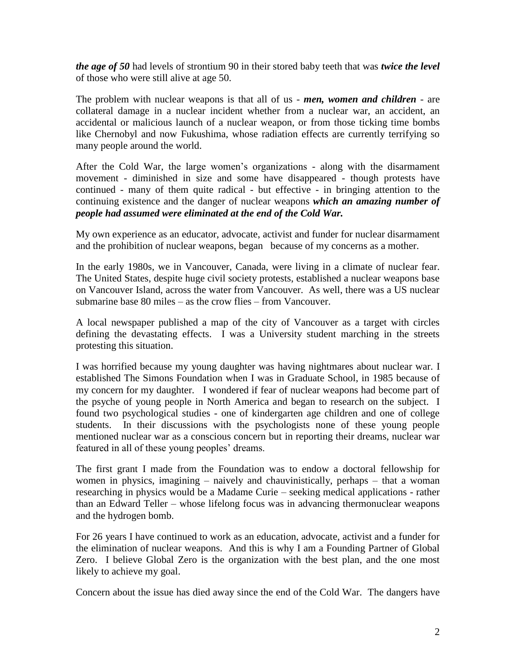*the age of 50* had levels of [strontium 90](http://en.wikipedia.org/wiki/Strontium_90) in their stored baby teeth that was *twice the level*  of those who were still alive at age 50.

The problem with nuclear weapons is that all of us - *men, women and children* - are collateral damage in a nuclear incident whether from a nuclear war, an accident, an accidental or malicious launch of a nuclear weapon, or from those ticking time bombs like Chernobyl and now Fukushima, whose radiation effects are currently terrifying so many people around the world.

After the Cold War, the large women's organizations - along with the disarmament movement - diminished in size and some have disappeared - though protests have continued - many of them quite radical - but effective - in bringing attention to the continuing existence and the danger of nuclear weapons *which an amazing number of people had assumed were eliminated at the end of the Cold War.*

My own experience as an educator, advocate, activist and funder for nuclear disarmament and the prohibition of nuclear weapons, began because of my concerns as a mother.

In the early 1980s, we in Vancouver, Canada, were living in a climate of nuclear fear. The United States, despite huge civil society protests, established a nuclear weapons base on Vancouver Island, across the water from Vancouver. As well, there was a US nuclear submarine base 80 miles – as the crow flies – from Vancouver.

A local newspaper published a map of the city of Vancouver as a target with circles defining the devastating effects. I was a University student marching in the streets protesting this situation.

I was horrified because my young daughter was having nightmares about nuclear war. I established The Simons Foundation when I was in Graduate School, in 1985 because of my concern for my daughter. I wondered if fear of nuclear weapons had become part of the psyche of young people in North America and began to research on the subject. I found two psychological studies - one of kindergarten age children and one of college students. In their discussions with the psychologists none of these young people mentioned nuclear war as a conscious concern but in reporting their dreams, nuclear war featured in all of these young peoples' dreams.

The first grant I made from the Foundation was to endow a doctoral fellowship for women in physics, imagining – naively and chauvinistically, perhaps – that a woman researching in physics would be a Madame Curie – seeking medical applications - rather than an Edward Teller – whose lifelong focus was in advancing thermonuclear weapons and the hydrogen bomb.

For 26 years I have continued to work as an education, advocate, activist and a funder for the elimination of nuclear weapons. And this is why I am a Founding Partner of Global Zero. I believe Global Zero is the organization with the best plan, and the one most likely to achieve my goal.

Concern about the issue has died away since the end of the Cold War. The dangers have